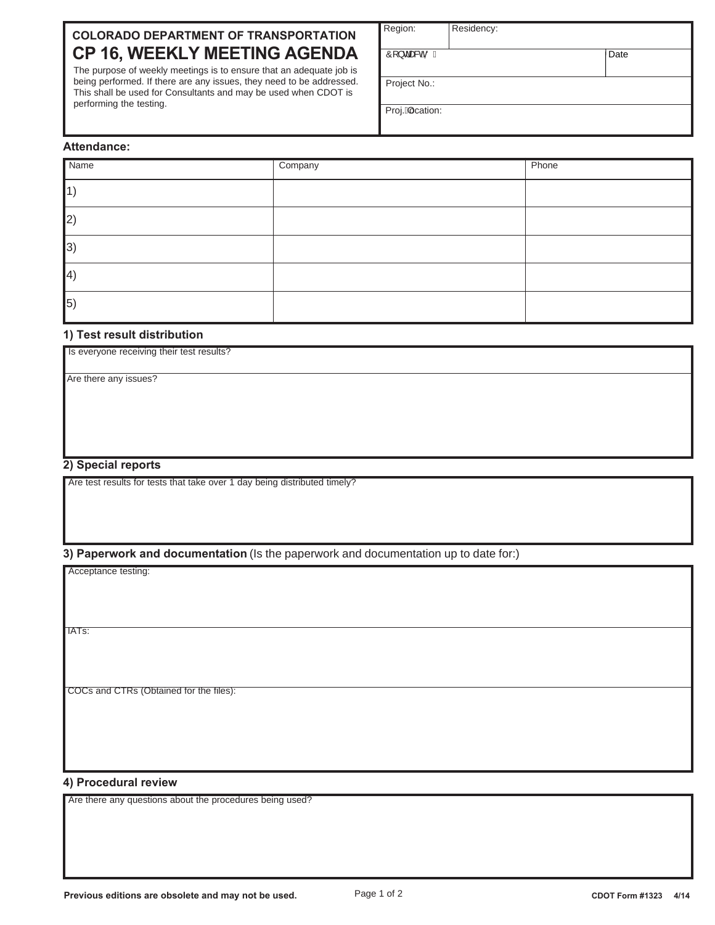# **COLORADO DEPARTMENT OF TRANSPORTATION CP 16, WEEKLY MEETING AGENDA**

The purpose of weekly meetings is to ensure that an adequate job is being performed. If there are any issues, they need to be addressed. This shall be used for Consultants and may be used when CDOT is performing the testing.

| Region: | Residency: |
|---------|------------|
|         |            |

 $\hat{O}$  }  $d$  as  $\partial \hat{O}$   $\hat{O}$   $\hat{O}$ 

**Date** 

Project No.:

Proj.Aocation:

# **Attendance:**

| Name                   | Company | Phone |
|------------------------|---------|-------|
| $\mathbf 1$            |         |       |
| $ 2\rangle$            |         |       |
| $ 3\rangle$            |         |       |
| $\vert 4 \rangle$      |         |       |
| $\vert$ <sub>5</sub> ) |         |       |

## **1) Test result distribution**

| Is everyone receiving their test results? |  |  |
|-------------------------------------------|--|--|
|                                           |  |  |
| Are there any issues?                     |  |  |
|                                           |  |  |
|                                           |  |  |
|                                           |  |  |
|                                           |  |  |
|                                           |  |  |

## **2) Special reports**

Are test results for tests that take over 1 day being distributed timely?

## **3) Paperwork and documentation** (Is the paperwork and documentation up to date for:)

Acceptance testing:

IATs:

COCs and CTRs (Obtained for the files):

## **4) Procedural review**

Are there any questions about the procedures being used?